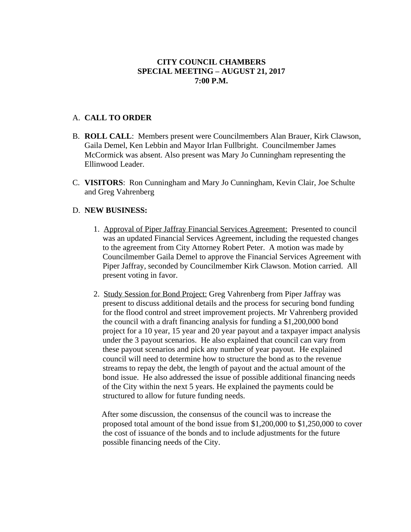## **CITY COUNCIL CHAMBERS SPECIAL MEETING – AUGUST 21, 2017 7:00 P.M.**

## A. **CALL TO ORDER**

- B. **ROLL CALL**: Members present were Councilmembers Alan Brauer, Kirk Clawson, Gaila Demel, Ken Lebbin and Mayor Irlan Fullbright. Councilmember James McCormick was absent. Also present was Mary Jo Cunningham representing the Ellinwood Leader.
- C. **VISITORS**: Ron Cunningham and Mary Jo Cunningham, Kevin Clair, Joe Schulte and Greg Vahrenberg

## D. **NEW BUSINESS:**

- 1. Approval of Piper Jaffray Financial Services Agreement: Presented to council was an updated Financial Services Agreement, including the requested changes to the agreement from City Attorney Robert Peter. A motion was made by Councilmember Gaila Demel to approve the Financial Services Agreement with Piper Jaffray, seconded by Councilmember Kirk Clawson. Motion carried. All present voting in favor.
- 2. Study Session for Bond Project: Greg Vahrenberg from Piper Jaffray was present to discuss additional details and the process for securing bond funding for the flood control and street improvement projects. Mr Vahrenberg provided the council with a draft financing analysis for funding a \$1,200,000 bond project for a 10 year, 15 year and 20 year payout and a taxpayer impact analysis under the 3 payout scenarios. He also explained that council can vary from these payout scenarios and pick any number of year payout. He explained council will need to determine how to structure the bond as to the revenue streams to repay the debt, the length of payout and the actual amount of the bond issue. He also addressed the issue of possible additional financing needs of the City within the next 5 years. He explained the payments could be structured to allow for future funding needs.

 After some discussion, the consensus of the council was to increase the proposed total amount of the bond issue from  $$1,200,000$  to  $$1,250,000$  to cover the cost of issuance of the bonds and to include adjustments for the future possible financing needs of the City.